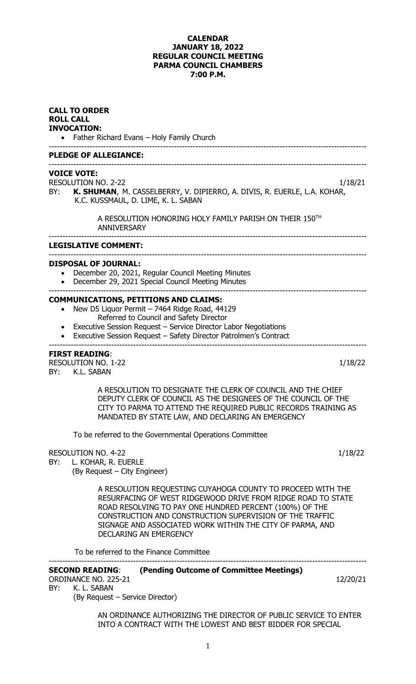## **CALENDAR JANUARY 18, 2022 REGULAR COUNCIL MEETING PARMA COUNCIL CHAMBERS 7:00 P.M.**

| <b>CALL TO ORDER</b><br><b>ROLL CALL</b><br><b>INVOCATION:</b><br>• Father Richard Evans - Holy Family Church |                                                                                                                                                                                                                                                                                                                                           |          |
|---------------------------------------------------------------------------------------------------------------|-------------------------------------------------------------------------------------------------------------------------------------------------------------------------------------------------------------------------------------------------------------------------------------------------------------------------------------------|----------|
| <b>PLEDGE OF ALLEGIANCE:</b>                                                                                  |                                                                                                                                                                                                                                                                                                                                           |          |
| BY:                                                                                                           | <b>VOICE VOTE:</b><br><b>RESOLUTION NO. 2-22</b><br>K. SHUMAN, M. CASSELBERRY, V. DIPIERRO, A. DIVIS, R. EUERLE, L.A. KOHAR,<br>K.C. KUSSMAUL, D. LIME, K. L. SABAN                                                                                                                                                                       | 1/18/21  |
|                                                                                                               | A RESOLUTION HONORING HOLY FAMILY PARISH ON THEIR 150TH<br><b>ANNIVERSARY</b>                                                                                                                                                                                                                                                             |          |
| <b>LEGISLATIVE COMMENT:</b>                                                                                   |                                                                                                                                                                                                                                                                                                                                           |          |
| $\bullet$                                                                                                     | <b>DISPOSAL OF JOURNAL:</b><br>December 20, 2021, Regular Council Meeting Minutes<br>December 29, 2021 Special Council Meeting Minutes                                                                                                                                                                                                    |          |
| $\bullet$                                                                                                     | <b>COMMUNICATIONS, PETITIONS AND CLAIMS:</b><br>New D5 Liquor Permit - 7464 Ridge Road, 44129<br>Referred to Council and Safety Director<br>Executive Session Request - Service Director Labor Negotiations<br>Executive Session Request - Safety Director Patrolmen's Contract                                                           |          |
| BY:                                                                                                           | <b>FIRST READING:</b><br><b>RESOLUTION NO. 1-22</b><br>K.L. SABAN                                                                                                                                                                                                                                                                         | 1/18/22  |
|                                                                                                               | A RESOLUTION TO DESIGNATE THE CLERK OF COUNCIL AND THE CHIEF<br>DEPUTY CLERK OF COUNCIL AS THE DESIGNEES OF THE COUNCIL OF THE<br>CITY TO PARMA TO ATTEND THE REQUIRED PUBLIC RECORDS TRAINING AS<br>MANDATED BY STATE LAW, AND DECLARING AN EMERGENCY                                                                                    |          |
|                                                                                                               | To be referred to the Governmental Operations Committee                                                                                                                                                                                                                                                                                   |          |
| BY:                                                                                                           | <b>RESOLUTION NO. 4-22</b><br>L. KOHAR, R. EUERLE<br>(By Request - City Engineer)                                                                                                                                                                                                                                                         | 1/18/22  |
|                                                                                                               | A RESOLUTION REQUESTING CUYAHOGA COUNTY TO PROCEED WITH THE<br>RESURFACING OF WEST RIDGEWOOD DRIVE FROM RIDGE ROAD TO STATE<br>ROAD RESOLVING TO PAY ONE HUNDRED PERCENT (100%) OF THE<br>CONSTRUCTION AND CONSTRUCTION SUPERVISION OF THE TRAFFIC<br>SIGNAGE AND ASSOCIATED WORK WITHIN THE CITY OF PARMA, AND<br>DECLARING AN EMERGENCY |          |
|                                                                                                               | To be referred to the Finance Committee                                                                                                                                                                                                                                                                                                   |          |
| BY:                                                                                                           | (Pending Outcome of Committee Meetings)<br><b>SECOND READING:</b><br>ORDINANCE NO. 225-21<br>K. L. SABAN<br>(By Request – Service Director)                                                                                                                                                                                               | 12/20/21 |
|                                                                                                               | AN ORDINANCE AUTHORIZING THE DIRECTOR OF PUBLIC SERVICE TO ENTER<br>INTO A CONTRACT WITH THE LOWEST AND BEST BIDDER FOR SPECIAL                                                                                                                                                                                                           |          |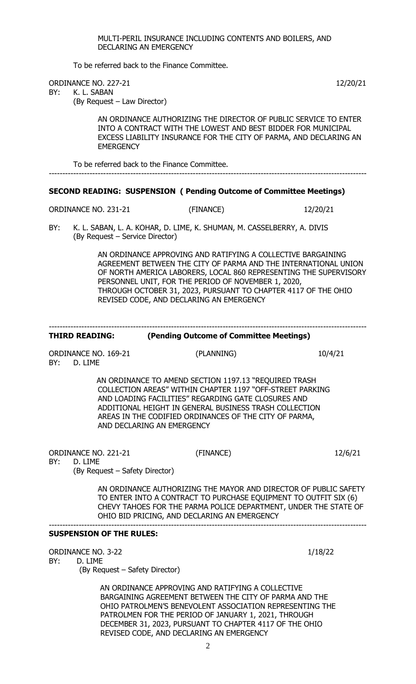MULTI-PERIL INSURANCE INCLUDING CONTENTS AND BOILERS, AND DECLARING AN EMERGENCY

To be referred back to the Finance Committee.

ORDINANCE NO. 227-21 12/20/21

BY: K. L. SABAN

(By Request – Law Director)

AN ORDINANCE AUTHORIZING THE DIRECTOR OF PUBLIC SERVICE TO ENTER INTO A CONTRACT WITH THE LOWEST AND BEST BIDDER FOR MUNICIPAL EXCESS LIABILITY INSURANCE FOR THE CITY OF PARMA, AND DECLARING AN **EMERGENCY** 

To be referred back to the Finance Committee.

---------------------------------------------------------------------------------------------------------------------

### **SECOND READING: SUSPENSION ( Pending Outcome of Committee Meetings)**

ORDINANCE NO. 231-21 (FINANCE) 12/20/21

BY: K. L. SABAN, L. A. KOHAR, D. LIME, K. SHUMAN, M. CASSELBERRY, A. DIVIS (By Request – Service Director)

> AN ORDINANCE APPROVING AND RATIFYING A COLLECTIVE BARGAINING AGREEMENT BETWEEN THE CITY OF PARMA AND THE INTERNATIONAL UNION OF NORTH AMERICA LABORERS, LOCAL 860 REPRESENTING THE SUPERVISORY PERSONNEL UNIT, FOR THE PERIOD OF NOVEMBER 1, 2020, THROUGH OCTOBER 31, 2023, PURSUANT TO CHAPTER 4117 OF THE OHIO REVISED CODE, AND DECLARING AN EMERGENCY

---------------------------------------------------------------------------------------------------------------------

**THIRD READING: (Pending Outcome of Committee Meetings)**

ORDINANCE NO. 169-21 (PLANNING) 10/4/21 BY: D. LIME

> AN ORDINANCE TO AMEND SECTION 1197.13 "REQUIRED TRASH COLLECTION AREAS" WITHIN CHAPTER 1197 "OFF-STREET PARKING AND LOADING FACILITIES" REGARDING GATE CLOSURES AND ADDITIONAL HEIGHT IN GENERAL BUSINESS TRASH COLLECTION AREAS IN THE CODIFIED ORDINANCES OF THE CITY OF PARMA, AND DECLARING AN EMERGENCY

ORDINANCE NO. 221-21 (FINANCE) 12/6/21

BY: D. LIME

(By Request – Safety Director)

AN ORDINANCE AUTHORIZING THE MAYOR AND DIRECTOR OF PUBLIC SAFETY TO ENTER INTO A CONTRACT TO PURCHASE EQUIPMENT TO OUTFIT SIX (6) CHEVY TAHOES FOR THE PARMA POLICE DEPARTMENT, UNDER THE STATE OF OHIO BID PRICING, AND DECLARING AN EMERGENCY

### **SUSPENSION OF THE RULES:**

ORDINANCE NO. 3-22 1/18/22

BY: D. LIME

(By Request – Safety Director)

AN ORDINANCE APPROVING AND RATIFYING A COLLECTIVE BARGAINING AGREEMENT BETWEEN THE CITY OF PARMA AND THE OHIO PATROLMEN'S BENEVOLENT ASSOCIATION REPRESENTING THE PATROLMEN FOR THE PERIOD OF JANUARY 1, 2021, THROUGH DECEMBER 31, 2023, PURSUANT TO CHAPTER 4117 OF THE OHIO REVISED CODE, AND DECLARING AN EMERGENCY

---------------------------------------------------------------------------------------------------------------------